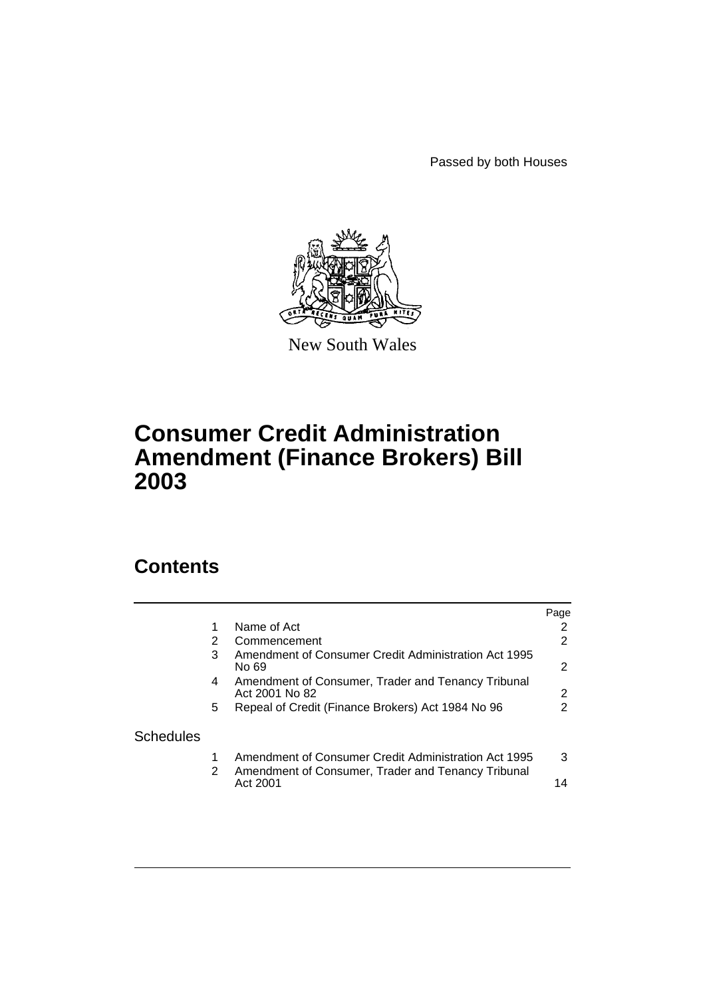Passed by both Houses



New South Wales

# **Consumer Credit Administration Amendment (Finance Brokers) Bill 2003**

# **Contents**

|                  |    |                                                                                                            | Page |
|------------------|----|------------------------------------------------------------------------------------------------------------|------|
|                  |    | Name of Act                                                                                                | 2    |
|                  | 2  | Commencement                                                                                               | 2    |
|                  | 3  | Amendment of Consumer Credit Administration Act 1995<br>No 69                                              | 2    |
|                  | 4  | Amendment of Consumer, Trader and Tenancy Tribunal<br>Act 2001 No 82                                       | 2    |
|                  | 5. | Repeal of Credit (Finance Brokers) Act 1984 No 96                                                          | 2    |
| <b>Schedules</b> |    |                                                                                                            |      |
|                  | 2  | Amendment of Consumer Credit Administration Act 1995<br>Amendment of Consumer, Trader and Tenancy Tribunal | 3    |
|                  |    | Act 2001                                                                                                   | 14   |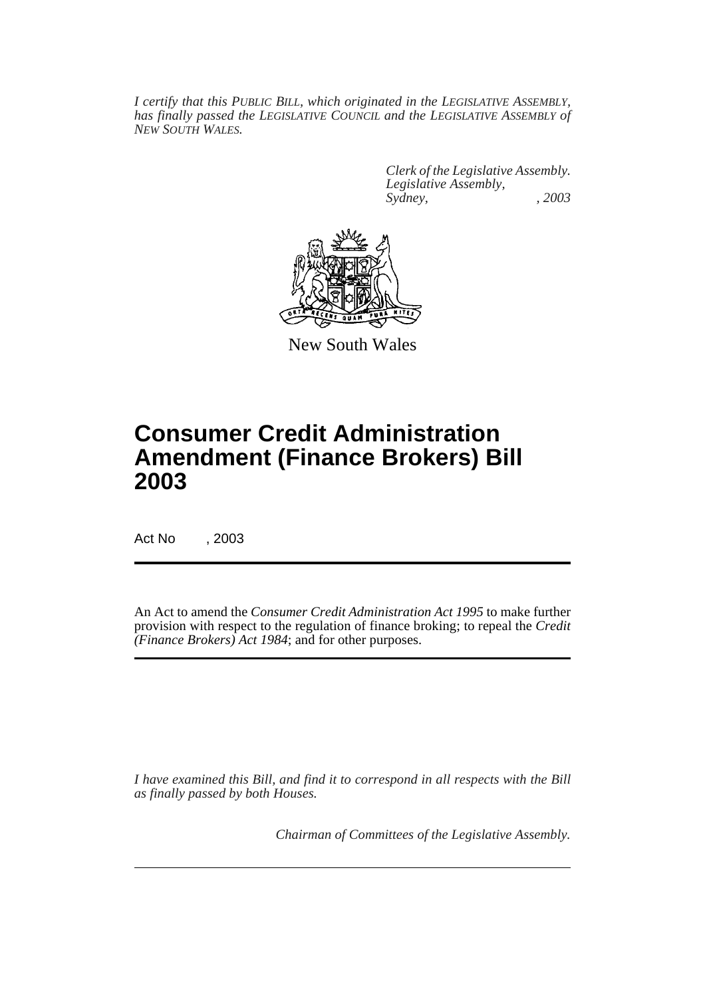*I certify that this PUBLIC BILL, which originated in the LEGISLATIVE ASSEMBLY, has finally passed the LEGISLATIVE COUNCIL and the LEGISLATIVE ASSEMBLY of NEW SOUTH WALES.*

> *Clerk of the Legislative Assembly. Legislative Assembly, Sydney, , 2003*



New South Wales

# **Consumer Credit Administration Amendment (Finance Brokers) Bill 2003**

Act No , 2003

An Act to amend the *Consumer Credit Administration Act 1995* to make further provision with respect to the regulation of finance broking; to repeal the *Credit (Finance Brokers) Act 1984*; and for other purposes.

*I have examined this Bill, and find it to correspond in all respects with the Bill as finally passed by both Houses.*

*Chairman of Committees of the Legislative Assembly.*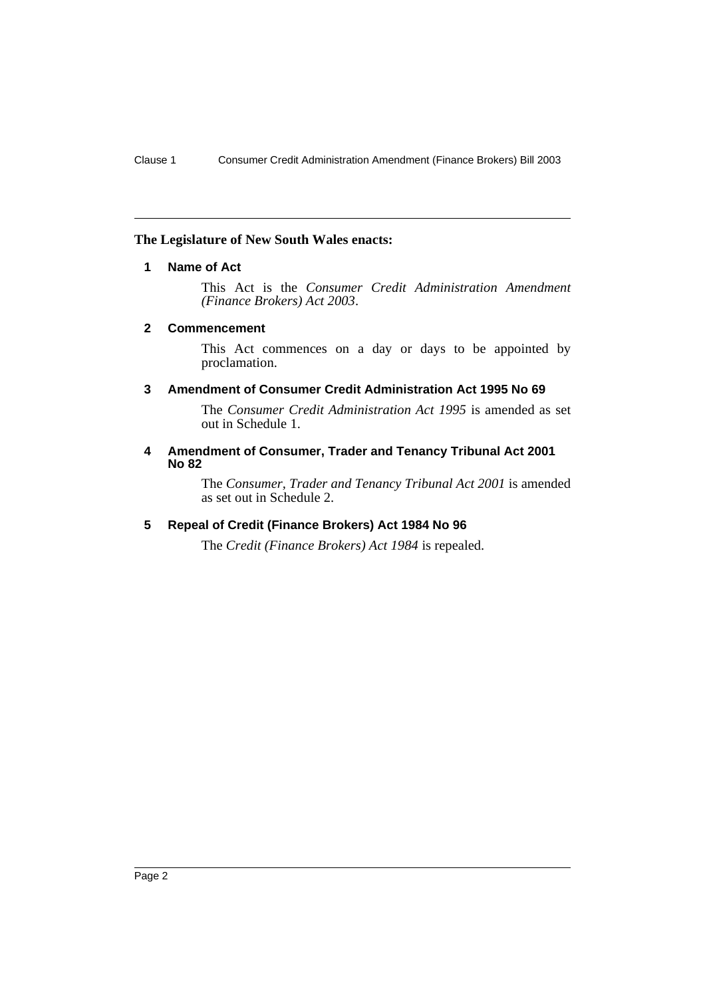### <span id="page-2-0"></span>**The Legislature of New South Wales enacts:**

# **1 Name of Act**

This Act is the *Consumer Credit Administration Amendment (Finance Brokers) Act 2003*.

#### <span id="page-2-1"></span>**2 Commencement**

This Act commences on a day or days to be appointed by proclamation.

# <span id="page-2-2"></span>**3 Amendment of Consumer Credit Administration Act 1995 No 69**

The *Consumer Credit Administration Act 1995* is amended as set out in Schedule 1.

#### <span id="page-2-3"></span>**4 Amendment of Consumer, Trader and Tenancy Tribunal Act 2001 No 82**

The *Consumer, Trader and Tenancy Tribunal Act 2001* is amended as set out in Schedule 2.

# <span id="page-2-4"></span>**5 Repeal of Credit (Finance Brokers) Act 1984 No 96**

The *Credit (Finance Brokers) Act 1984* is repealed.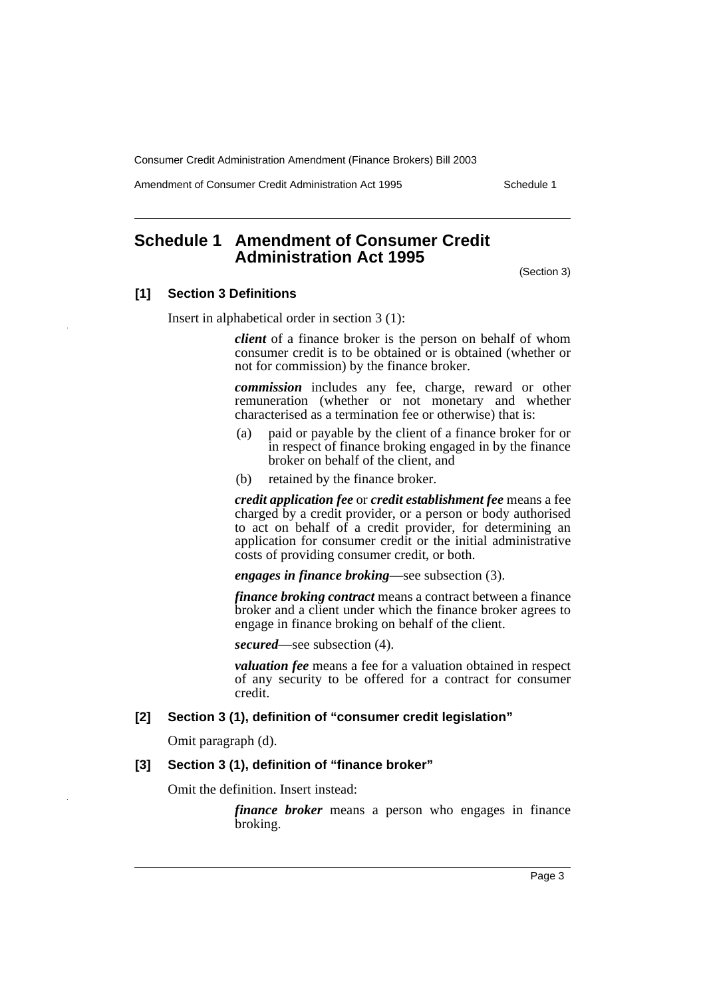Amendment of Consumer Credit Administration Act 1995 Schedule 1

# <span id="page-3-0"></span>**Schedule 1 Amendment of Consumer Credit Administration Act 1995**

(Section 3)

# **[1] Section 3 Definitions**

Insert in alphabetical order in section 3 (1):

*client* of a finance broker is the person on behalf of whom consumer credit is to be obtained or is obtained (whether or not for commission) by the finance broker.

*commission* includes any fee, charge, reward or other remuneration (whether or not monetary and whether characterised as a termination fee or otherwise) that is:

- (a) paid or payable by the client of a finance broker for or in respect of finance broking engaged in by the finance broker on behalf of the client, and
- (b) retained by the finance broker.

*credit application fee* or *credit establishment fee* means a fee charged by a credit provider, or a person or body authorised to act on behalf of a credit provider, for determining an application for consumer credit or the initial administrative costs of providing consumer credit, or both.

*engages in finance broking*—see subsection (3).

*finance broking contract* means a contract between a finance broker and a client under which the finance broker agrees to engage in finance broking on behalf of the client.

*secured*—see subsection (4).

*valuation fee* means a fee for a valuation obtained in respect of any security to be offered for a contract for consumer credit.

# **[2] Section 3 (1), definition of "consumer credit legislation"**

Omit paragraph (d).

# **[3] Section 3 (1), definition of "finance broker"**

Omit the definition. Insert instead:

*finance broker* means a person who engages in finance broking.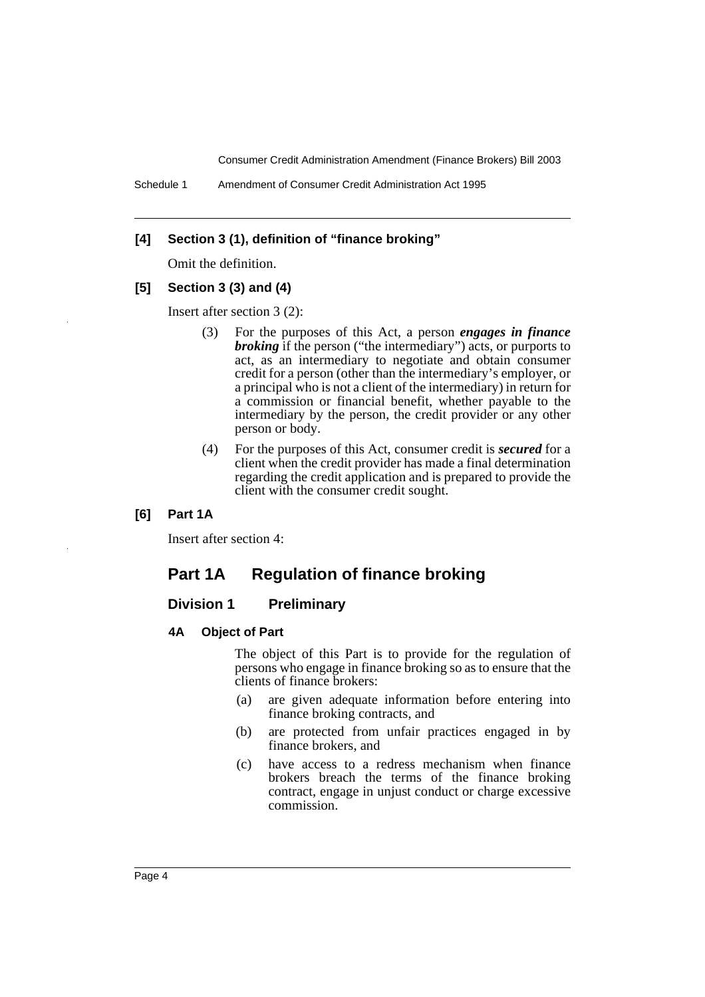# **[4] Section 3 (1), definition of "finance broking"**

Omit the definition.

# **[5] Section 3 (3) and (4)**

Insert after section 3 (2):

- (3) For the purposes of this Act, a person *engages in finance broking* if the person ("the intermediary") acts, or purports to act, as an intermediary to negotiate and obtain consumer credit for a person (other than the intermediary's employer, or a principal who is not a client of the intermediary) in return for a commission or financial benefit, whether payable to the intermediary by the person, the credit provider or any other person or body.
- (4) For the purposes of this Act, consumer credit is *secured* for a client when the credit provider has made a final determination regarding the credit application and is prepared to provide the client with the consumer credit sought.

### **[6] Part 1A**

Insert after section 4:

# **Part 1A Regulation of finance broking**

# **Division 1 Preliminary**

#### **4A Object of Part**

The object of this Part is to provide for the regulation of persons who engage in finance broking so as to ensure that the clients of finance brokers:

- (a) are given adequate information before entering into finance broking contracts, and
- (b) are protected from unfair practices engaged in by finance brokers, and
- (c) have access to a redress mechanism when finance brokers breach the terms of the finance broking contract, engage in unjust conduct or charge excessive commission.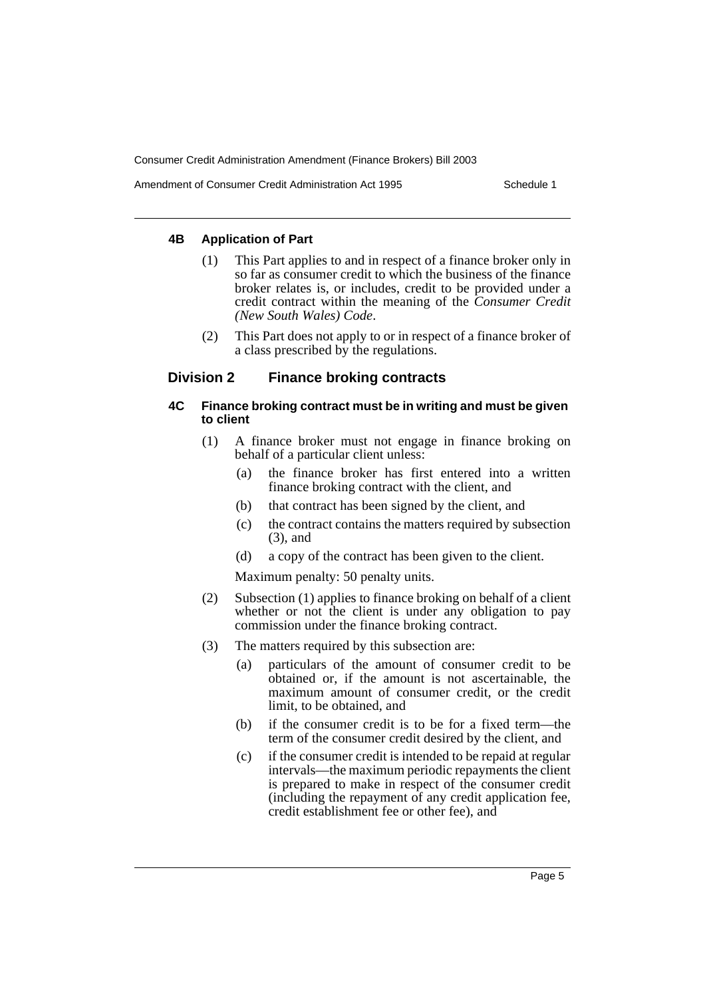Amendment of Consumer Credit Administration Act 1995 Schedule 1

# **4B Application of Part**

- (1) This Part applies to and in respect of a finance broker only in so far as consumer credit to which the business of the finance broker relates is, or includes, credit to be provided under a credit contract within the meaning of the *Consumer Credit (New South Wales) Code*.
- (2) This Part does not apply to or in respect of a finance broker of a class prescribed by the regulations.

# **Division 2 Finance broking contracts**

### **4C Finance broking contract must be in writing and must be given to client**

- (1) A finance broker must not engage in finance broking on behalf of a particular client unless:
	- (a) the finance broker has first entered into a written finance broking contract with the client, and
	- (b) that contract has been signed by the client, and
	- (c) the contract contains the matters required by subsection (3), and
	- (d) a copy of the contract has been given to the client.

Maximum penalty: 50 penalty units.

- (2) Subsection (1) applies to finance broking on behalf of a client whether or not the client is under any obligation to pay commission under the finance broking contract.
- (3) The matters required by this subsection are:
	- (a) particulars of the amount of consumer credit to be obtained or, if the amount is not ascertainable, the maximum amount of consumer credit, or the credit limit, to be obtained, and
	- (b) if the consumer credit is to be for a fixed term—the term of the consumer credit desired by the client, and
	- (c) if the consumer credit is intended to be repaid at regular intervals—the maximum periodic repayments the client is prepared to make in respect of the consumer credit (including the repayment of any credit application fee, credit establishment fee or other fee), and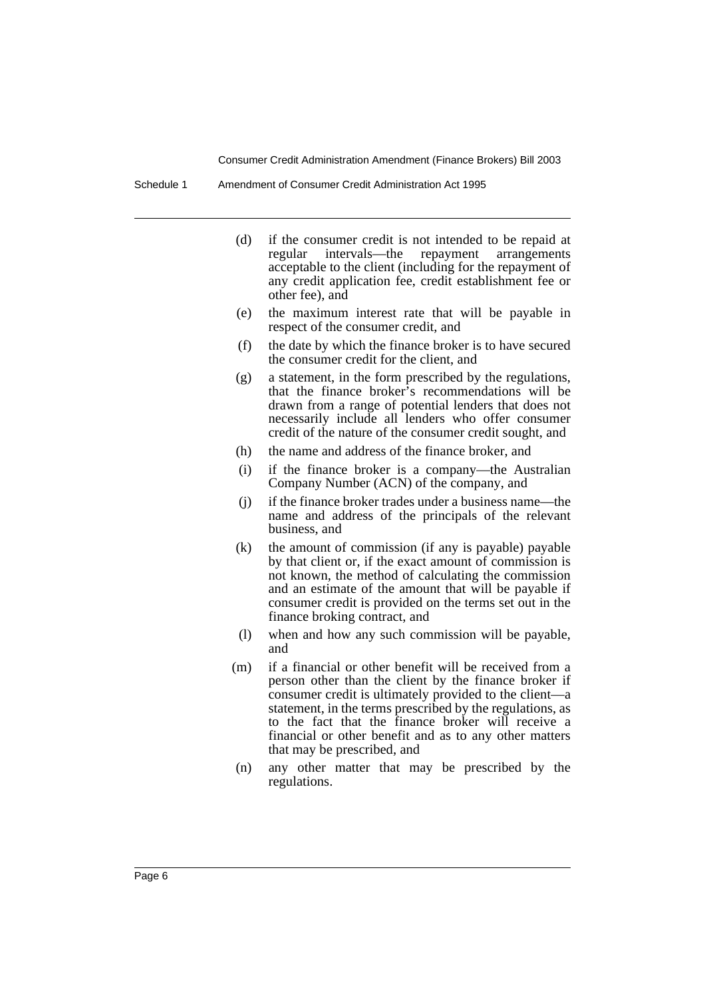Schedule 1 Amendment of Consumer Credit Administration Act 1995

- (d) if the consumer credit is not intended to be repaid at regular intervals—the repayment arrangements acceptable to the client (including for the repayment of any credit application fee, credit establishment fee or other fee), and
- (e) the maximum interest rate that will be payable in respect of the consumer credit, and
- (f) the date by which the finance broker is to have secured the consumer credit for the client, and
- (g) a statement, in the form prescribed by the regulations, that the finance broker's recommendations will be drawn from a range of potential lenders that does not necessarily include all lenders who offer consumer credit of the nature of the consumer credit sought, and
- (h) the name and address of the finance broker, and
- (i) if the finance broker is a company—the Australian Company Number (ACN) of the company, and
- (j) if the finance broker trades under a business name—the name and address of the principals of the relevant business, and
- (k) the amount of commission (if any is payable) payable by that client or, if the exact amount of commission is not known, the method of calculating the commission and an estimate of the amount that will be payable if consumer credit is provided on the terms set out in the finance broking contract, and
- (l) when and how any such commission will be payable, and
- (m) if a financial or other benefit will be received from a person other than the client by the finance broker if consumer credit is ultimately provided to the client—a statement, in the terms prescribed by the regulations, as to the fact that the finance broker will receive a financial or other benefit and as to any other matters that may be prescribed, and
- (n) any other matter that may be prescribed by the regulations.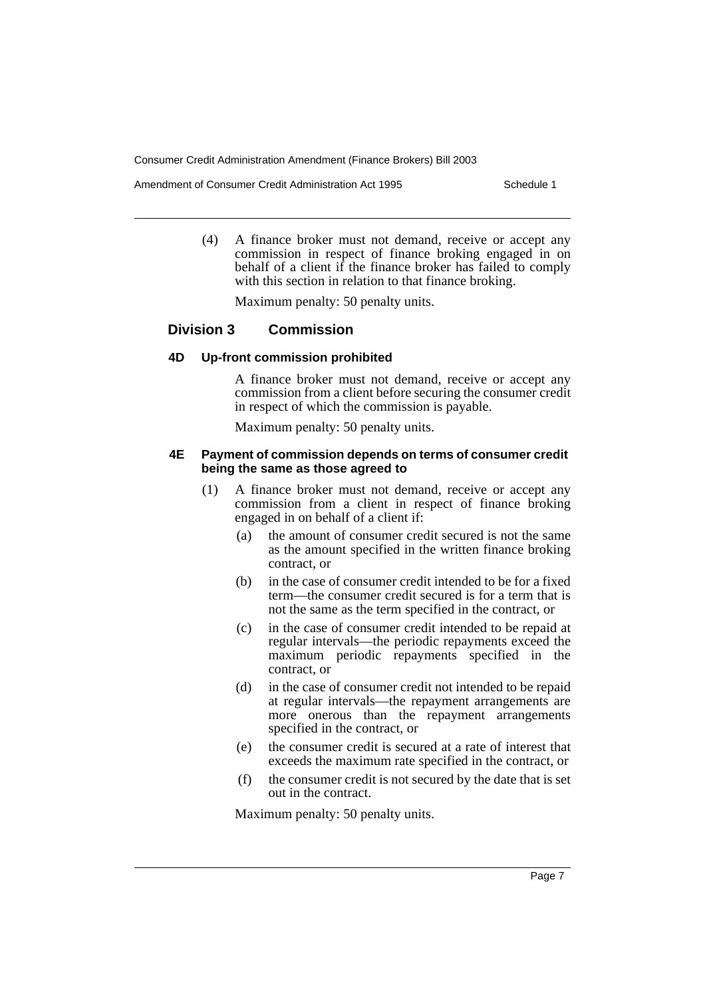Amendment of Consumer Credit Administration Act 1995 Schedule 1

(4) A finance broker must not demand, receive or accept any commission in respect of finance broking engaged in on behalf of a client if the finance broker has failed to comply with this section in relation to that finance broking.

Maximum penalty: 50 penalty units.

# **Division 3 Commission**

#### **4D Up-front commission prohibited**

A finance broker must not demand, receive or accept any commission from a client before securing the consumer credit in respect of which the commission is payable.

Maximum penalty: 50 penalty units.

#### **4E Payment of commission depends on terms of consumer credit being the same as those agreed to**

- (1) A finance broker must not demand, receive or accept any commission from a client in respect of finance broking engaged in on behalf of a client if:
	- (a) the amount of consumer credit secured is not the same as the amount specified in the written finance broking contract, or
	- (b) in the case of consumer credit intended to be for a fixed term—the consumer credit secured is for a term that is not the same as the term specified in the contract, or
	- (c) in the case of consumer credit intended to be repaid at regular intervals—the periodic repayments exceed the maximum periodic repayments specified in the contract, or
	- (d) in the case of consumer credit not intended to be repaid at regular intervals—the repayment arrangements are more onerous than the repayment arrangements specified in the contract, or
	- (e) the consumer credit is secured at a rate of interest that exceeds the maximum rate specified in the contract, or
	- (f) the consumer credit is not secured by the date that is set out in the contract.

Maximum penalty: 50 penalty units.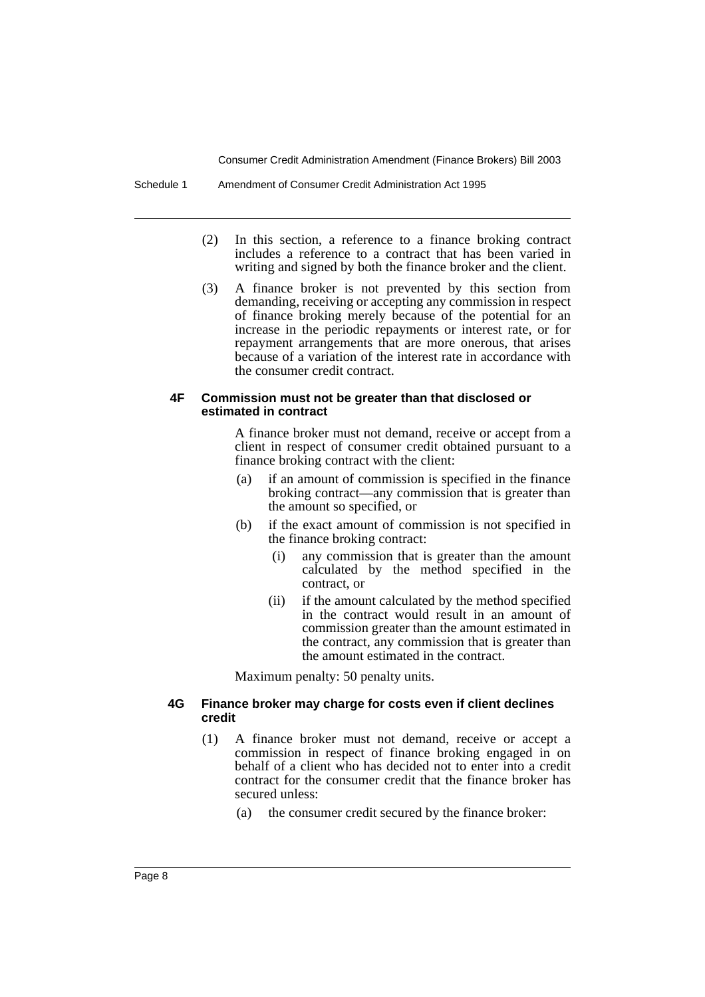Schedule 1 Amendment of Consumer Credit Administration Act 1995

- (2) In this section, a reference to a finance broking contract includes a reference to a contract that has been varied in writing and signed by both the finance broker and the client.
- (3) A finance broker is not prevented by this section from demanding, receiving or accepting any commission in respect of finance broking merely because of the potential for an increase in the periodic repayments or interest rate, or for repayment arrangements that are more onerous, that arises because of a variation of the interest rate in accordance with the consumer credit contract.

#### **4F Commission must not be greater than that disclosed or estimated in contract**

A finance broker must not demand, receive or accept from a client in respect of consumer credit obtained pursuant to a finance broking contract with the client:

- (a) if an amount of commission is specified in the finance broking contract—any commission that is greater than the amount so specified, or
- (b) if the exact amount of commission is not specified in the finance broking contract:
	- (i) any commission that is greater than the amount calculated by the method specified in the contract, or
	- (ii) if the amount calculated by the method specified in the contract would result in an amount of commission greater than the amount estimated in the contract, any commission that is greater than the amount estimated in the contract.

Maximum penalty: 50 penalty units.

# **4G Finance broker may charge for costs even if client declines credit**

- (1) A finance broker must not demand, receive or accept a commission in respect of finance broking engaged in on behalf of a client who has decided not to enter into a credit contract for the consumer credit that the finance broker has secured unless:
	- (a) the consumer credit secured by the finance broker: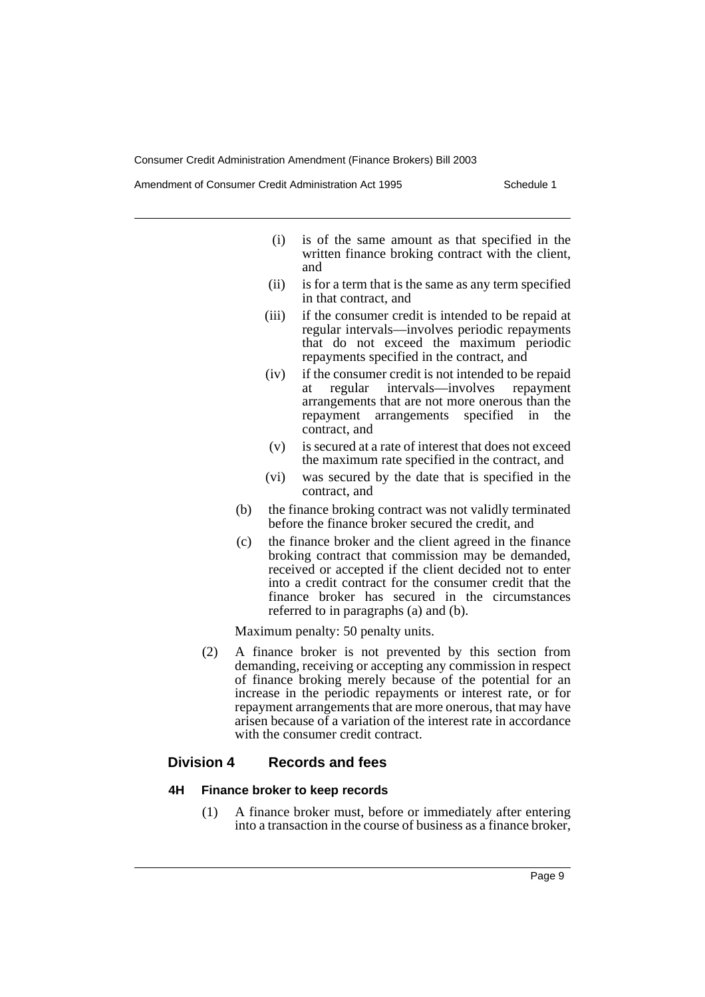Amendment of Consumer Credit Administration Act 1995 Schedule 1

- (i) is of the same amount as that specified in the written finance broking contract with the client, and
- (ii) is for a term that is the same as any term specified in that contract, and
- (iii) if the consumer credit is intended to be repaid at regular intervals—involves periodic repayments that do not exceed the maximum periodic repayments specified in the contract, and
- (iv) if the consumer credit is not intended to be repaid at regular intervals—involves repayment arrangements that are not more onerous than the repayment arrangements specified in the contract, and
- (v) is secured at a rate of interest that does not exceed the maximum rate specified in the contract, and
- (vi) was secured by the date that is specified in the contract, and
- (b) the finance broking contract was not validly terminated before the finance broker secured the credit, and
- (c) the finance broker and the client agreed in the finance broking contract that commission may be demanded, received or accepted if the client decided not to enter into a credit contract for the consumer credit that the finance broker has secured in the circumstances referred to in paragraphs (a) and (b).

Maximum penalty: 50 penalty units.

(2) A finance broker is not prevented by this section from demanding, receiving or accepting any commission in respect of finance broking merely because of the potential for an increase in the periodic repayments or interest rate, or for repayment arrangements that are more onerous, that may have arisen because of a variation of the interest rate in accordance with the consumer credit contract.

# **Division 4 Records and fees**

# **4H Finance broker to keep records**

(1) A finance broker must, before or immediately after entering into a transaction in the course of business as a finance broker,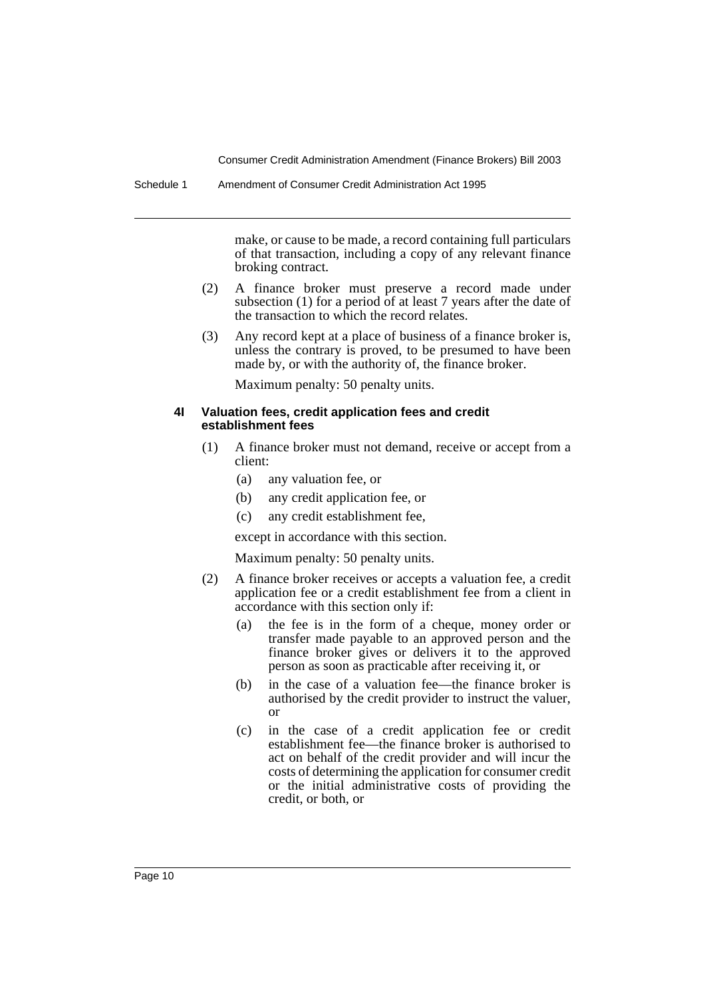make, or cause to be made, a record containing full particulars of that transaction, including a copy of any relevant finance broking contract.

- (2) A finance broker must preserve a record made under subsection (1) for a period of at least 7 years after the date of the transaction to which the record relates.
- (3) Any record kept at a place of business of a finance broker is, unless the contrary is proved, to be presumed to have been made by, or with the authority of, the finance broker.

Maximum penalty: 50 penalty units.

### **4I Valuation fees, credit application fees and credit establishment fees**

- (1) A finance broker must not demand, receive or accept from a client:
	- (a) any valuation fee, or
	- (b) any credit application fee, or
	- (c) any credit establishment fee,

except in accordance with this section.

Maximum penalty: 50 penalty units.

- (2) A finance broker receives or accepts a valuation fee, a credit application fee or a credit establishment fee from a client in accordance with this section only if:
	- (a) the fee is in the form of a cheque, money order or transfer made payable to an approved person and the finance broker gives or delivers it to the approved person as soon as practicable after receiving it, or
	- (b) in the case of a valuation fee—the finance broker is authorised by the credit provider to instruct the valuer, or
	- (c) in the case of a credit application fee or credit establishment fee—the finance broker is authorised to act on behalf of the credit provider and will incur the costs of determining the application for consumer credit or the initial administrative costs of providing the credit, or both, or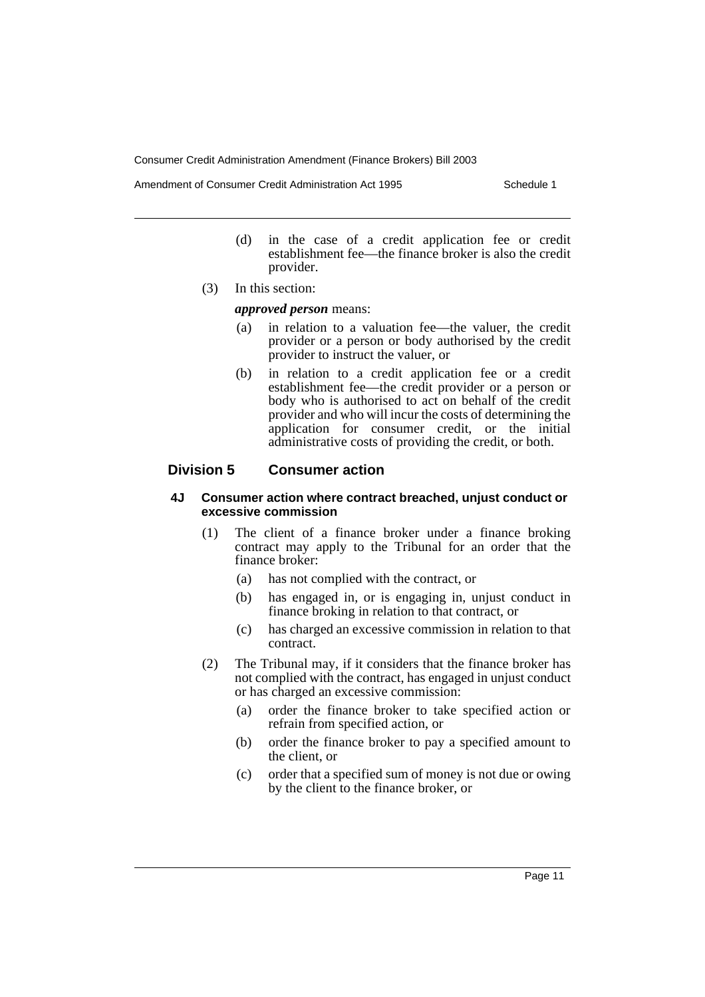Amendment of Consumer Credit Administration Act 1995 Schedule 1

- (d) in the case of a credit application fee or credit establishment fee—the finance broker is also the credit provider.
- (3) In this section:

*approved person* means:

- (a) in relation to a valuation fee—the valuer, the credit provider or a person or body authorised by the credit provider to instruct the valuer, or
- (b) in relation to a credit application fee or a credit establishment fee—the credit provider or a person or body who is authorised to act on behalf of the credit provider and who will incur the costs of determining the application for consumer credit, or the initial administrative costs of providing the credit, or both.

# **Division 5 Consumer action**

# **4J Consumer action where contract breached, unjust conduct or excessive commission**

- (1) The client of a finance broker under a finance broking contract may apply to the Tribunal for an order that the finance broker:
	- (a) has not complied with the contract, or
	- (b) has engaged in, or is engaging in, unjust conduct in finance broking in relation to that contract, or
	- (c) has charged an excessive commission in relation to that contract.
- (2) The Tribunal may, if it considers that the finance broker has not complied with the contract, has engaged in unjust conduct or has charged an excessive commission:
	- (a) order the finance broker to take specified action or refrain from specified action, or
	- (b) order the finance broker to pay a specified amount to the client, or
	- (c) order that a specified sum of money is not due or owing by the client to the finance broker, or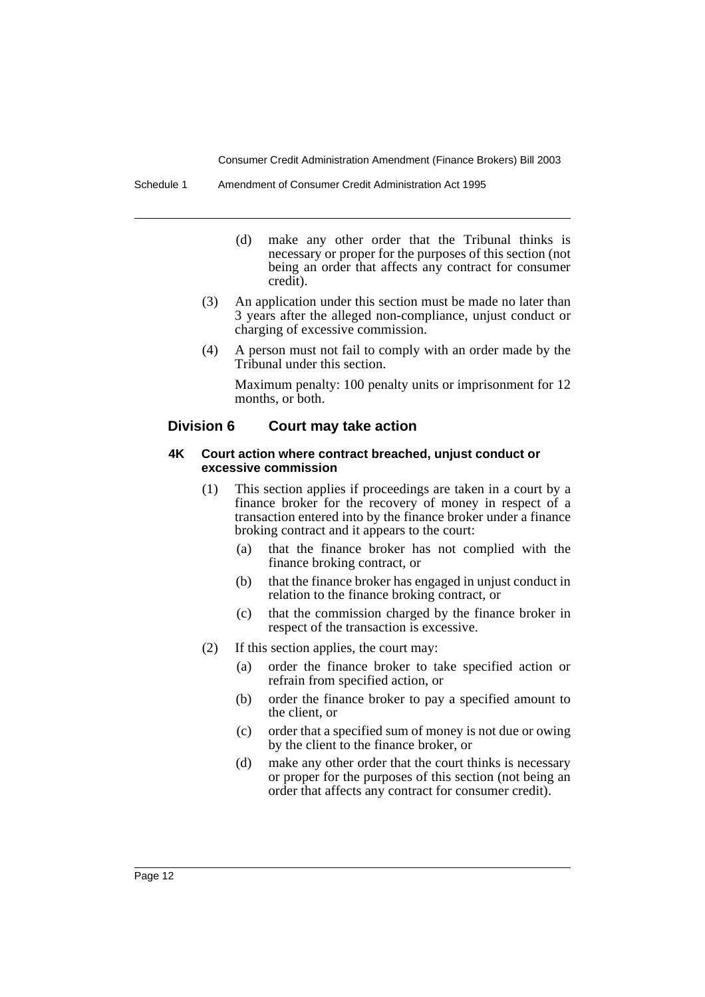Schedule 1 Amendment of Consumer Credit Administration Act 1995

- (d) make any other order that the Tribunal thinks is necessary or proper for the purposes of this section (not being an order that affects any contract for consumer credit).
- (3) An application under this section must be made no later than 3 years after the alleged non-compliance, unjust conduct or charging of excessive commission.
- (4) A person must not fail to comply with an order made by the Tribunal under this section.

Maximum penalty: 100 penalty units or imprisonment for 12 months, or both.

# **Division 6 Court may take action**

#### **4K Court action where contract breached, unjust conduct or excessive commission**

- (1) This section applies if proceedings are taken in a court by a finance broker for the recovery of money in respect of a transaction entered into by the finance broker under a finance broking contract and it appears to the court:
	- (a) that the finance broker has not complied with the finance broking contract, or
	- (b) that the finance broker has engaged in unjust conduct in relation to the finance broking contract, or
	- (c) that the commission charged by the finance broker in respect of the transaction is excessive.
- (2) If this section applies, the court may:
	- (a) order the finance broker to take specified action or refrain from specified action, or
	- (b) order the finance broker to pay a specified amount to the client, or
	- (c) order that a specified sum of money is not due or owing by the client to the finance broker, or
	- (d) make any other order that the court thinks is necessary or proper for the purposes of this section (not being an order that affects any contract for consumer credit).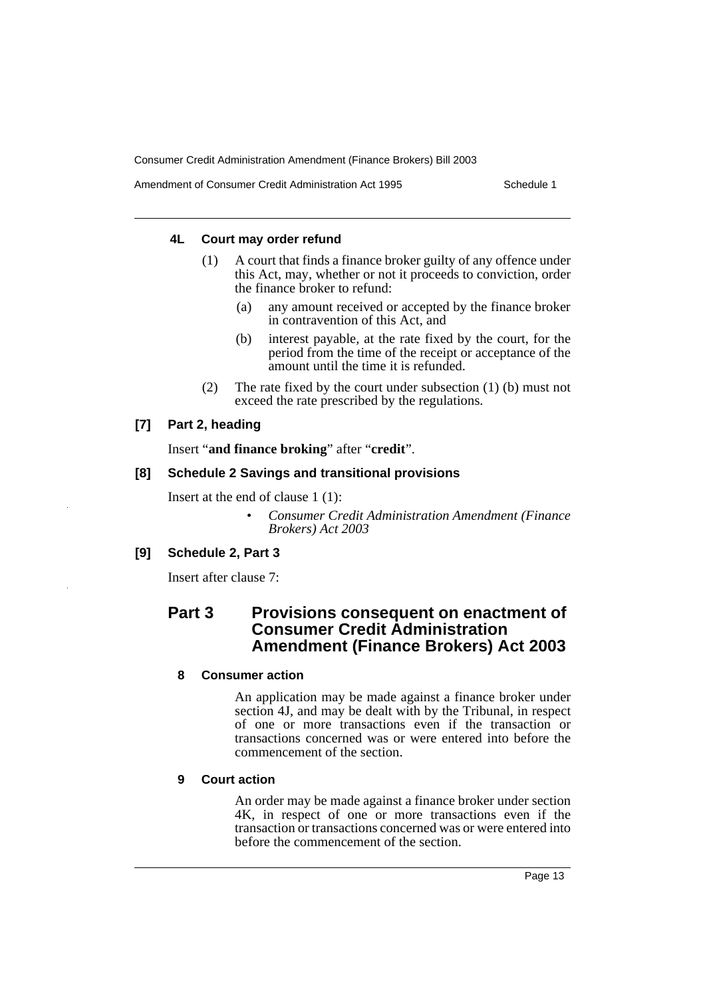Amendment of Consumer Credit Administration Act 1995 Schedule 1

# **4L Court may order refund**

- (1) A court that finds a finance broker guilty of any offence under this Act, may, whether or not it proceeds to conviction, order the finance broker to refund:
	- (a) any amount received or accepted by the finance broker in contravention of this Act, and
	- (b) interest payable, at the rate fixed by the court, for the period from the time of the receipt or acceptance of the amount until the time it is refunded.
- (2) The rate fixed by the court under subsection (1) (b) must not exceed the rate prescribed by the regulations.

# **[7] Part 2, heading**

Insert "**and finance broking**" after "**credit**".

# **[8] Schedule 2 Savings and transitional provisions**

Insert at the end of clause 1 (1):

• *Consumer Credit Administration Amendment (Finance Brokers) Act 2003*

# **[9] Schedule 2, Part 3**

Insert after clause 7:

# **Part 3 Provisions consequent on enactment of Consumer Credit Administration Amendment (Finance Brokers) Act 2003**

# **8 Consumer action**

An application may be made against a finance broker under section 4J, and may be dealt with by the Tribunal, in respect of one or more transactions even if the transaction or transactions concerned was or were entered into before the commencement of the section.

# **9 Court action**

An order may be made against a finance broker under section 4K, in respect of one or more transactions even if the transaction or transactions concerned was or were entered into before the commencement of the section.